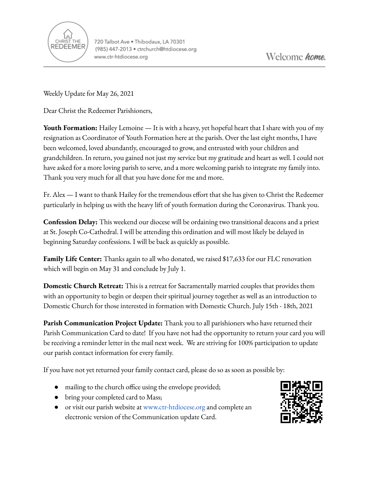

Weekly Update for May 26, 2021

Dear Christ the Redeemer Parishioners,

**Youth Formation:** Hailey Lemoine — It is with a heavy, yet hopeful heart that I share with you of my resignation as Coordinator of Youth Formation here at the parish. Over the last eight months, I have been welcomed, loved abundantly, encouraged to grow, and entrusted with your children and grandchildren. In return, you gained not just my service but my gratitude and heart as well. I could not have asked for a more loving parish to serve, and a more welcoming parish to integrate my family into. Thank you very much for all that you have done for me and more.

Fr. Alex — I want to thank Hailey for the tremendous effort that she has given to Christ the Redeemer particularly in helping us with the heavy lift of youth formation during the Coronavirus. Thank you.

**Confession Delay:** This weekend our diocese will be ordaining two transitional deacons and a priest at St. Joseph Co-Cathedral. I will be attending this ordination and will most likely be delayed in beginning Saturday confessions. I will be back as quickly as possible.

**Family Life Center:** Thanks again to all who donated, we raised \$17,633 for our FLC renovation which will begin on May 31 and conclude by July 1.

**Domestic Church Retreat:** This is a retreat for Sacramentally married couples that provides them with an opportunity to begin or deepen their spiritual journey together as well as an introduction to Domestic Church for those interested in formation with Domestic Church. July 15th - 18th, 2021

**Parish Communication Project Update:** Thank you to all parishioners who have returned their Parish Communication Card to date! If you have not had the opportunity to return your card you will be receiving a reminder letter in the mail next week. We are striving for 100% participation to update our parish contact information for every family.

If you have not yet returned your family contact card, please do so as soon as possible by:

- mailing to the church office using the envelope provided;
- bring your completed card to Mass;
- or visit our parish website a[t](http://www.church.org) [www.ctr-htdiocese.org](http://www.ctr-htdiocese.org) and complete an electronic version of the Communication update Card.